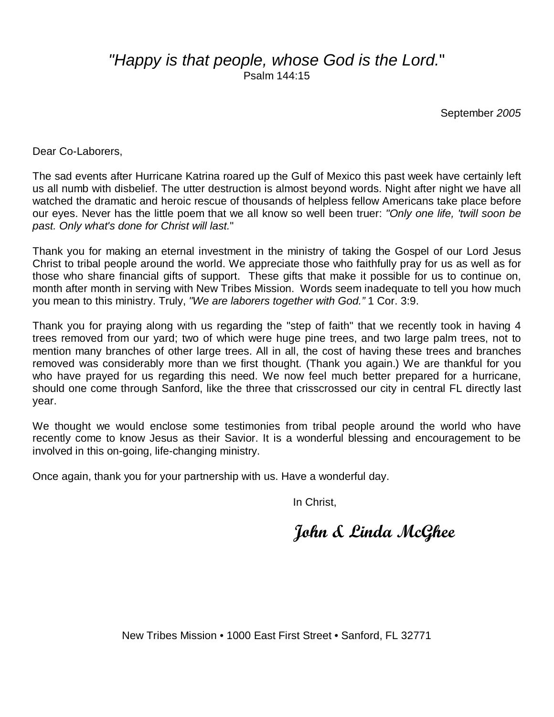#### "Happy is that people, whose God is the Lord." Psalm 144:15

September 2005

Dear Co-Laborers,

The sad events after Hurricane Katrina roared up the Gulf of Mexico this past week have certainly left us all numb with disbelief. The utter destruction is almost beyond words. Night after night we have all watched the dramatic and heroic rescue of thousands of helpless fellow Americans take place before our eyes. Never has the little poem that we all know so well been truer: "Only one life, 'twill soon be past. Only what's done for Christ will last."

Thank you for making an eternal investment in the ministry of taking the Gospel of our Lord Jesus Christ to tribal people around the world. We appreciate those who faithfully pray for us as well as for those who share financial gifts of support. These gifts that make it possible for us to continue on, month after month in serving with New Tribes Mission. Words seem inadequate to tell you how much you mean to this ministry. Truly, "We are laborers together with God." 1 Cor. 3:9.

Thank you for praying along with us regarding the "step of faith" that we recently took in having 4 trees removed from our yard; two of which were huge pine trees, and two large palm trees, not to mention many branches of other large trees. All in all, the cost of having these trees and branches removed was considerably more than we first thought. (Thank you again.) We are thankful for you who have prayed for us regarding this need. We now feel much better prepared for a hurricane, should one come through Sanford, like the three that crisscrossed our city in central FL directly last year.

We thought we would enclose some testimonies from tribal people around the world who have recently come to know Jesus as their Savior. It is a wonderful blessing and encouragement to be involved in this on-going, life-changing ministry.

Once again, thank you for your partnership with us. Have a wonderful day.

In Christ,

John & Linda McGhee